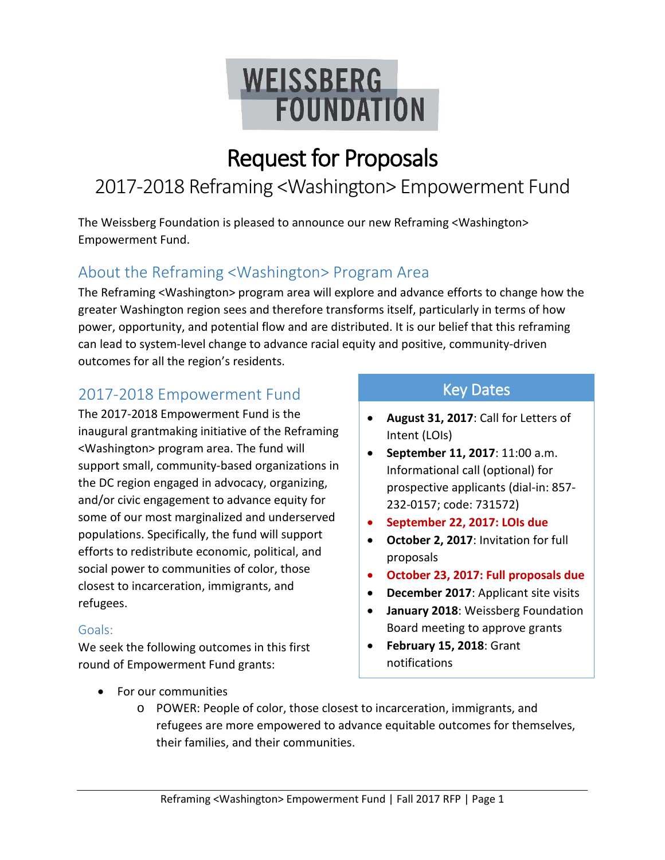# **WEISSBERG FOUNDATION**

## Request for Proposals

### 2017-2018 Reframing <Washington> Empowerment Fund

The Weissberg Foundation is pleased to announce our new Reframing <Washington> Empowerment Fund.

### About the Reframing <Washington> Program Area

The Reframing <Washington> program area will explore and advance efforts to change how the greater Washington region sees and therefore transforms itself, particularly in terms of how power, opportunity, and potential flow and are distributed. It is our belief that this reframing can lead to system-level change to advance racial equity and positive, community-driven outcomes for all the region's residents.

### 2017-2018 Empowerment Fund

The 2017-2018 Empowerment Fund is the inaugural grantmaking initiative of the Reframing <Washington> program area. The fund will support small, community-based organizations in the DC region engaged in advocacy, organizing, and/or civic engagement to advance equity for some of our most marginalized and underserved populations. Specifically, the fund will support efforts to redistribute economic, political, and social power to communities of color, those closest to incarceration, immigrants, and refugees.

### Goals:

We seek the following outcomes in this first round of Empowerment Fund grants:

- Key Dates
- **August 31, 2017**: Call for Letters of Intent (LOIs)
- **September 11, 2017**: 11:00 a.m. Informational call (optional) for prospective applicants (dial-in: 857- 232-0157; code: 731572)
- **September 22, 2017: LOIs due**
- **October 2, 2017**: Invitation for full proposals
- **October 23, 2017: Full proposals due**
- **December 2017**: Applicant site visits
- **January 2018**: Weissberg Foundation Board meeting to approve grants
- **February 15, 2018**: Grant notifications

- For our communities
	- o POWER: People of color, those closest to incarceration, immigrants, and refugees are more empowered to advance equitable outcomes for themselves, their families, and their communities.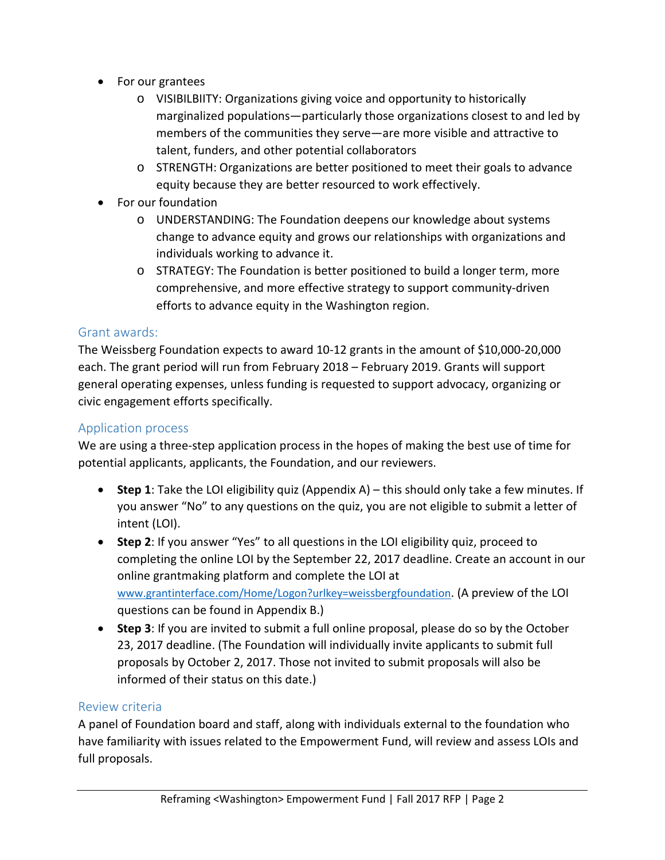- For our grantees
	- o VISIBILBIITY: Organizations giving voice and opportunity to historically marginalized populations—particularly those organizations closest to and led by members of the communities they serve—are more visible and attractive to talent, funders, and other potential collaborators
	- o STRENGTH: Organizations are better positioned to meet their goals to advance equity because they are better resourced to work effectively.
- For our foundation
	- o UNDERSTANDING: The Foundation deepens our knowledge about systems change to advance equity and grows our relationships with organizations and individuals working to advance it.
	- o STRATEGY: The Foundation is better positioned to build a longer term, more comprehensive, and more effective strategy to support community-driven efforts to advance equity in the Washington region.

### Grant awards:

The Weissberg Foundation expects to award 10-12 grants in the amount of \$10,000-20,000 each. The grant period will run from February 2018 – February 2019. Grants will support general operating expenses, unless funding is requested to support advocacy, organizing or civic engagement efforts specifically.

### Application process

We are using a three-step application process in the hopes of making the best use of time for potential applicants, applicants, the Foundation, and our reviewers.

- **Step 1**: Take the LOI eligibility quiz (Appendix A) this should only take a few minutes. If you answer "No" to any questions on the quiz, you are not eligible to submit a letter of intent (LOI).
- **Step 2**: If you answer "Yes" to all questions in the LOI eligibility quiz, proceed to completing the online LOI by the September 22, 2017 deadline. Create an account in our online grantmaking platform and complete the LOI at [www.grantinterface.com/Home/Logon?urlkey=weissbergfoundation.](http://www.grantinterface.com/Home/Logon?urlkey=weissbergfoundation) (A preview of the LOI questions can be found in Appendix B.)
- **Step 3**: If you are invited to submit a full online proposal, please do so by the October 23, 2017 deadline. (The Foundation will individually invite applicants to submit full proposals by October 2, 2017. Those not invited to submit proposals will also be informed of their status on this date.)

### Review criteria

A panel of Foundation board and staff, along with individuals external to the foundation who have familiarity with issues related to the Empowerment Fund, will review and assess LOIs and full proposals.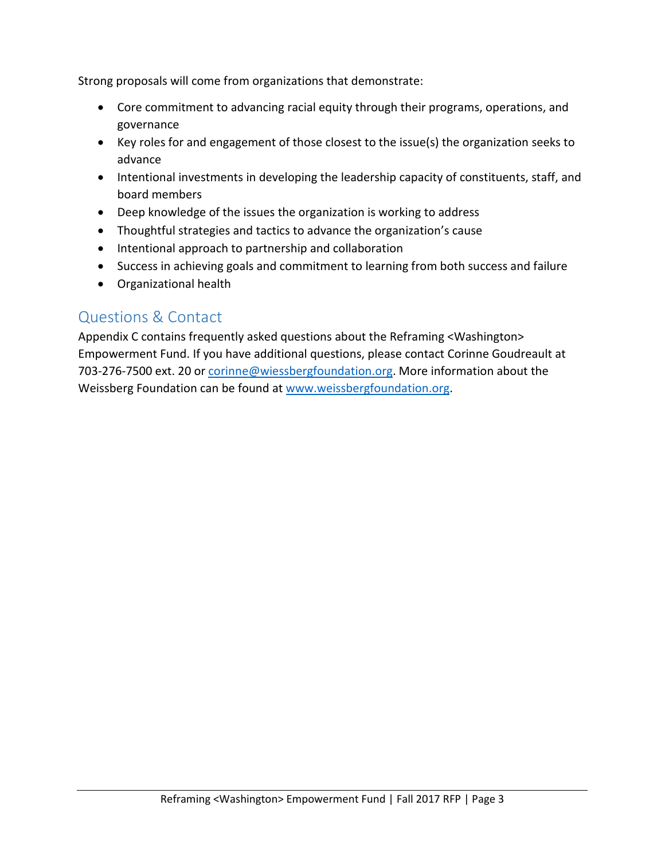Strong proposals will come from organizations that demonstrate:

- Core commitment to advancing racial equity through their programs, operations, and governance
- Key roles for and engagement of those closest to the issue(s) the organization seeks to advance
- Intentional investments in developing the leadership capacity of constituents, staff, and board members
- Deep knowledge of the issues the organization is working to address
- Thoughtful strategies and tactics to advance the organization's cause
- Intentional approach to partnership and collaboration
- Success in achieving goals and commitment to learning from both success and failure
- Organizational health

### Questions & Contact

Appendix C contains frequently asked questions about the Reframing <Washington> Empowerment Fund. If you have additional questions, please contact Corinne Goudreault at 703-276-7500 ext. 20 or [corinne@wiessbergfoundation.org.](mailto:corinne@wiessbergfoundation.org) More information about the Weissberg Foundation can be found at [www.weissbergfoundation.org.](http://www.weissbergfoundation.org/)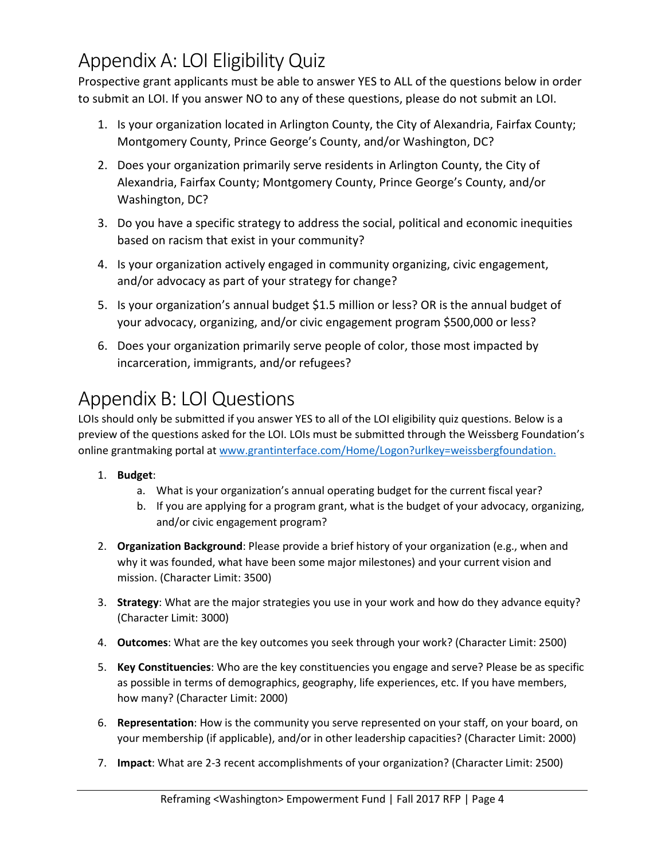### Appendix A: LOI Eligibility Quiz

Prospective grant applicants must be able to answer YES to ALL of the questions below in order to submit an LOI. If you answer NO to any of these questions, please do not submit an LOI.

- 1. Is your organization located in Arlington County, the City of Alexandria, Fairfax County; Montgomery County, Prince George's County, and/or Washington, DC?
- 2. Does your organization primarily serve residents in Arlington County, the City of Alexandria, Fairfax County; Montgomery County, Prince George's County, and/or Washington, DC?
- 3. Do you have a specific strategy to address the social, political and economic inequities based on racism that exist in your community?
- 4. Is your organization actively engaged in community organizing, civic engagement, and/or advocacy as part of your strategy for change?
- 5. Is your organization's annual budget \$1.5 million or less? OR is the annual budget of your advocacy, organizing, and/or civic engagement program \$500,000 or less?
- 6. Does your organization primarily serve people of color, those most impacted by incarceration, immigrants, and/or refugees?

### Appendix B: LOI Questions

LOIs should only be submitted if you answer YES to all of the LOI eligibility quiz questions. Below is a preview of the questions asked for the LOI. LOIs must be submitted through the Weissberg Foundation's online grantmaking portal at [www.grantinterface.com/Home/Logon?urlkey=weissbergfoundation.](http://www.grantinterface.com/Home/Logon?urlkey=weissbergfoundation)

### 1. **Budget**:

- a. What is your organization's annual operating budget for the current fiscal year?
- b. If you are applying for a program grant, what is the budget of your advocacy, organizing, and/or civic engagement program?
- 2. **Organization Background**: Please provide a brief history of your organization (e.g., when and why it was founded, what have been some major milestones) and your current vision and mission. (Character Limit: 3500)
- 3. **Strategy**: What are the major strategies you use in your work and how do they advance equity? (Character Limit: 3000)
- 4. **Outcomes**: What are the key outcomes you seek through your work? (Character Limit: 2500)
- 5. **Key Constituencies**: Who are the key constituencies you engage and serve? Please be as specific as possible in terms of demographics, geography, life experiences, etc. If you have members, how many? (Character Limit: 2000)
- 6. **Representation**: How is the community you serve represented on your staff, on your board, on your membership (if applicable), and/or in other leadership capacities? (Character Limit: 2000)
- 7. **Impact**: What are 2-3 recent accomplishments of your organization? (Character Limit: 2500)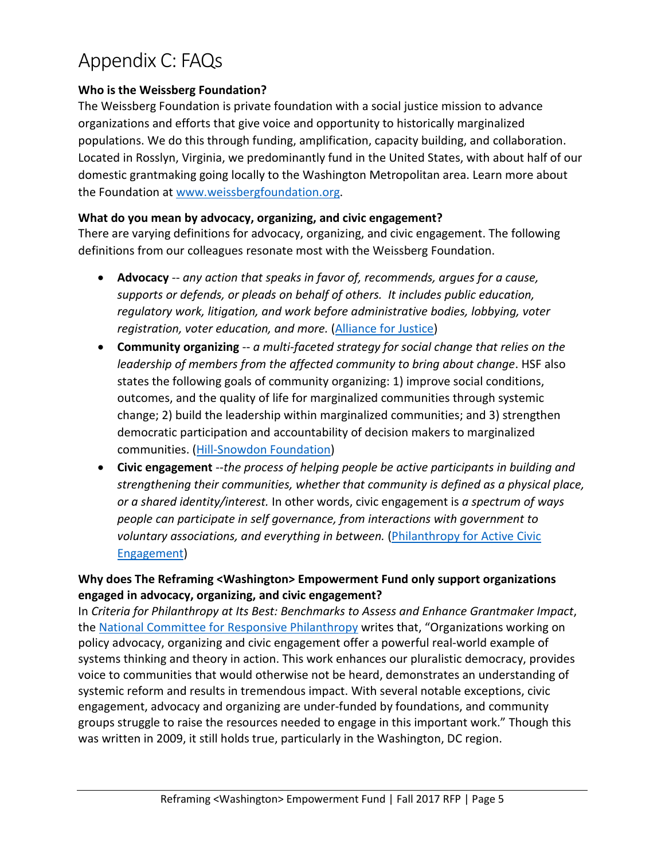### Appendix C: FAQs

### **Who is the Weissberg Foundation?**

The Weissberg Foundation is private foundation with a social justice mission to advance organizations and efforts that give voice and opportunity to historically marginalized populations. We do this through funding, amplification, capacity building, and collaboration. Located in Rosslyn, Virginia, we predominantly fund in the United States, with about half of our domestic grantmaking going locally to the Washington Metropolitan area. Learn more about the Foundation at [www.weissbergfoundation.org.](http://www.weissbergfoundation.org/)

#### **What do you mean by advocacy, organizing, and civic engagement?**

There are varying definitions for advocacy, organizing, and civic engagement. The following definitions from our colleagues resonate most with the Weissberg Foundation.

- **Advocacy** -- *any action that speaks in favor of, recommends, argues for a cause, supports or defends, or pleads on behalf of others. It includes public education, regulatory work, litigation, and work before administrative bodies, lobbying, voter registration, voter education, and more.* [\(Alliance for Justice\)](https://www.afj.org/)
- **Community organizing** -- *a multi-faceted strategy for social change that relies on the leadership of members from the affected community to bring about change*. HSF also states the following goals of community organizing: 1) improve social conditions, outcomes, and the quality of life for marginalized communities through systemic change; 2) build the leadership within marginalized communities; and 3) strengthen democratic participation and accountability of decision makers to marginalized communities. [\(Hill-Snowdon Foundation\)](http://hillsnowdon.org/)
- **Civic engagement** --*the process of helping people be active participants in building and strengthening their communities, whether that community is defined as a physical place, or a shared identity/interest.* In other words, civic engagement is *a spectrum of ways people can participate in self governance, from interactions with government to voluntary associations, and everything in between.* [\(Philanthropy for Active Civic](http://www.pacefunders.org/)  [Engagement\)](http://www.pacefunders.org/)

### **Why does The Reframing <Washington> Empowerment Fund only support organizations engaged in advocacy, organizing, and civic engagement?**

In *Criteria for Philanthropy at Its Best: Benchmarks to Assess and Enhance Grantmaker Impact*, the [National Committee for Responsive Philanthropy](https://www.ncrp.org/) writes that, "Organizations working on policy advocacy, organizing and civic engagement offer a powerful real-world example of systems thinking and theory in action. This work enhances our pluralistic democracy, provides voice to communities that would otherwise not be heard, demonstrates an understanding of systemic reform and results in tremendous impact. With several notable exceptions, civic engagement, advocacy and organizing are under-funded by foundations, and community groups struggle to raise the resources needed to engage in this important work." Though this was written in 2009, it still holds true, particularly in the Washington, DC region.